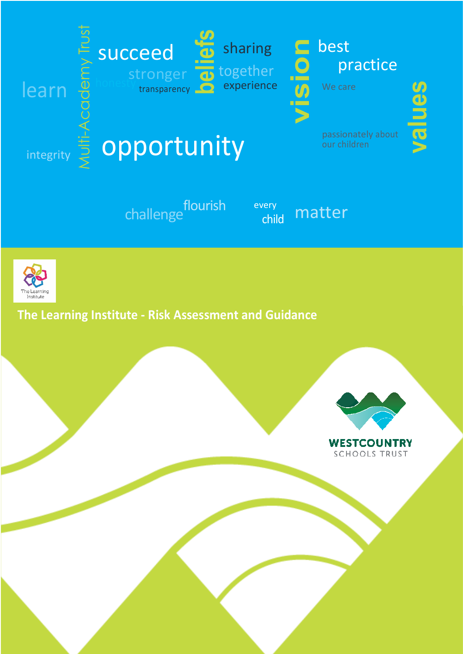



**The Learning Institute - Risk Assessment and Guidance**



**SCHOOLS TRUST**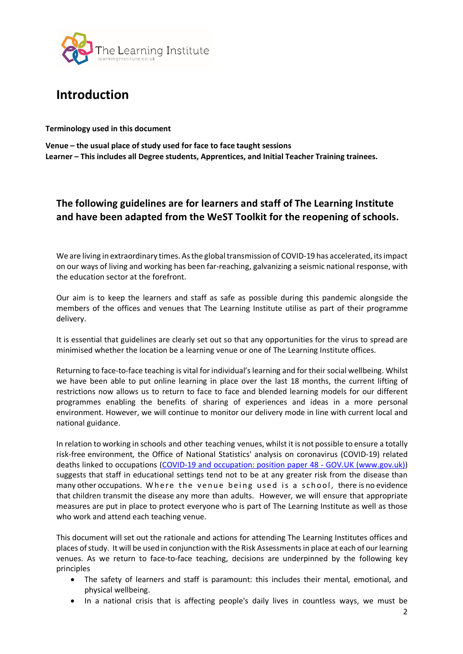

# **Introduction**

**Terminology used in this document**

**Venue – the usual place of study used for face to face taught sessions Learner – This includes all Degree students, Apprentices, and Initial Teacher Training trainees.**

## **The following guidelines are for learners and staff of The Learning Institute and have been adapted from the WeST Toolkit for the reopening of schools.**

We are living in extraordinary times. As the global transmission of COVID-19 has accelerated, its impact on our ways of living and working has been far-reaching, galvanizing a seismic national response, with the education sector at the forefront.

Our aim is to keep the learners and staff as safe as possible during this pandemic alongside the members of the offices and venues that The Learning Institute utilise as part of their programme delivery.

It is essential that guidelines are clearly set out so that any opportunities for the virus to spread are minimised whether the location be a learning venue or one of The Learning Institute offices.

Returning to face-to-face teaching is vital for individual'slearning and for their social wellbeing. Whilst we have been able to put online learning in place over the last 18 months, the current lifting of restrictions now allows us to return to face to face and blended learning models for our different programmes enabling the benefits of sharing of experiences and ideas in a more personal environment. However, we will continue to monitor our delivery mode in line with current local and national guidance.

In relation to working in schools and other teaching venues, whilst it is not possible to ensure a totally risk-free environment, the Office of National Statistics' analysis on coronavirus (COVID-19) related deaths linked to occupations (COVID-19 and occupation: position paper 48 - GOV.UK (www.gov.uk)) suggests that staff in educational settings tend not to be at any greater risk from the disease than many other occupations. Where the venue being used is a school, there is no evidence that children transmit the disease any more than adults. However, we will ensure that appropriate measures are put in place to protect everyone who is part of The Learning Institute as well as those who work and attend each teaching venue.

This document will set out the rationale and actions for attending The Learning Institutes offices and places of study. It will be used in conjunction with the Risk Assessments in place at each of our learning venues. As we return to face-to-face teaching, decisions are underpinned by the following key principles

- The safety of learners and staff is paramount: this includes their mental, emotional, and physical wellbeing.
- In a national crisis that is affecting people's daily lives in countless ways, we must be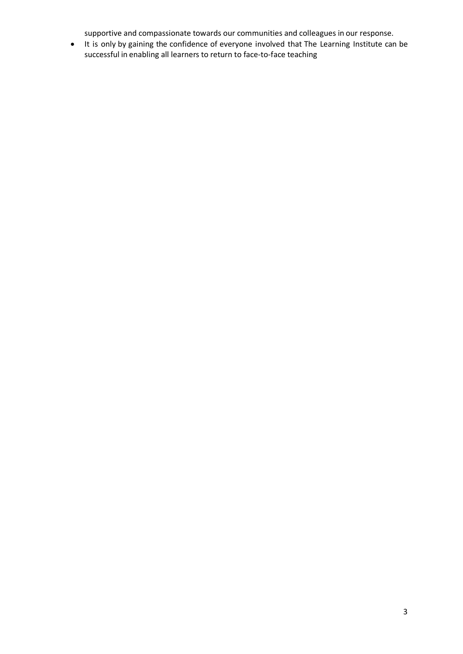supportive and compassionate towards our communities and colleagues in our response.

• It is only by gaining the confidence of everyone involved that The Learning Institute can be successful in enabling all learners to return to face-to-face teaching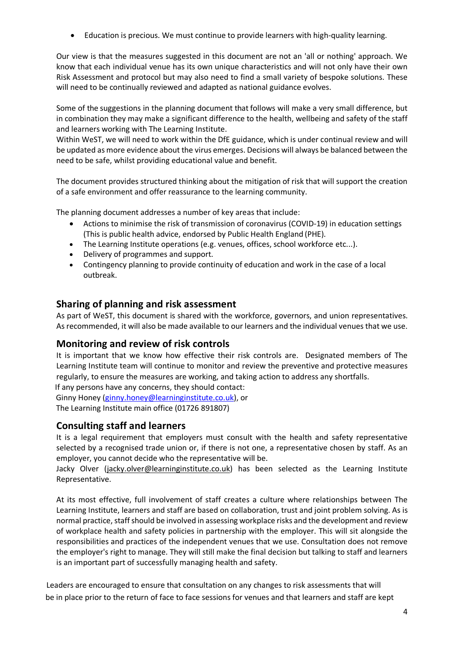• Education is precious. We must continue to provide learners with high-quality learning.

Our view is that the measures suggested in this document are not an 'all or nothing' approach. We know that each individual venue has its own unique characteristics and will not only have their own Risk Assessment and protocol but may also need to find a small variety of bespoke solutions. These will need to be continually reviewed and adapted as national guidance evolves.

Some of the suggestions in the planning document that follows will make a very small difference, but in combination they may make a significant difference to the health, wellbeing and safety of the staff and learners working with The Learning Institute.

Within WeST, we will need to work within the DfE guidance, which is under continual review and will be updated as more evidence about the virus emerges. Decisions will always be balanced between the need to be safe, whilst providing educational value and benefit.

The document provides structured thinking about the mitigation of risk that will support the creation of a safe environment and offer reassurance to the learning community.

The planning document addresses a number of key areas that include:

- Actions to minimise the risk of transmission of coronavirus (COVID-19) in education settings (This is public health advice, endorsed by Public Health England (PHE).
- The Learning Institute operations (e.g. venues, offices, school workforce etc...).
- Delivery of programmes and support.
- Contingency planning to provide continuity of education and work in the case of a local outbreak.

### **Sharing of planning and risk assessment**

As part of WeST, this document is shared with the workforce, governors, and union representatives. As recommended, it will also be made available to our learners and the individual venues that we use.

## **Monitoring and review of risk controls**

It is important that we know how effective their risk controls are. Designated members of The Learning Institute team will continue to monitor and review the preventive and protective measures regularly, to ensure the measures are working, and taking action to address any shortfalls.

If any persons have any concerns, they should contact:

Ginny Honey (ginny.honey@learninginstitute.co.uk), or

The Learning Institute main office (01726 891807)

### **Consulting staff and learners**

It is a legal requirement that employers must consult with the health and safety representative selected by a recognised trade union or, if there is not one, a representative chosen by staff. As an employer, you cannot decide who the representative will be.

Jacky Olver (jacky.olver@learninginstitute.co.uk) has been selected as the Learning Institute Representative.

At its most effective, full involvement of staff creates a culture where relationships between The Learning Institute, learners and staff are based on collaboration, trust and joint problem solving. As is normal practice, staff should be involved in assessing workplace risks and the development and review of workplace health and safety policies in partnership with the employer. This will sit alongside the responsibilities and practices of the independent venues that we use. Consultation does not remove the employer's right to manage. They will still make the final decision but talking to staff and learners is an important part of successfully managing health and safety.

 Leaders are encouraged to ensure that consultation on any changes to risk assessments that will be in place prior to the return of face to face sessions for venues and that learners and staff are kept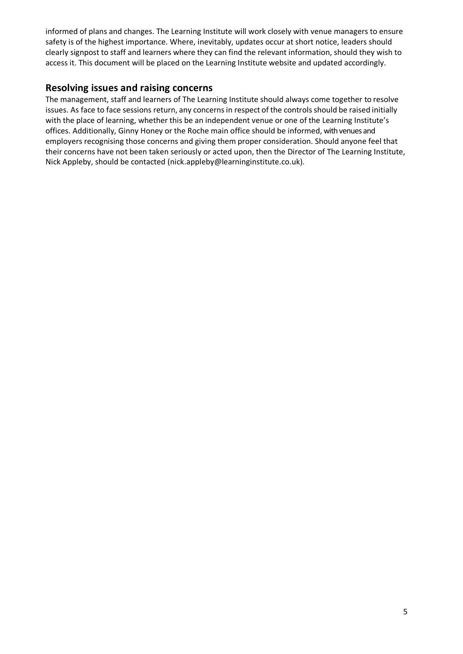informed of plans and changes. The Learning Institute will work closely with venue managers to ensure safety is of the highest importance. Where, inevitably, updates occur at short notice, leaders should clearly signpost to staff and learners where they can find the relevant information, should they wish to access it. This document will be placed on the Learning Institute website and updated accordingly.

## **Resolving issues and raising concerns**

The management, staff and learners of The Learning Institute should always come together to resolve issues. As face to face sessions return, any concerns in respect of the controls should be raised initially with the place of learning, whether this be an independent venue or one of the Learning Institute's offices. Additionally, Ginny Honey or the Roche main office should be informed, with venues and employers recognising those concerns and giving them proper consideration. Should anyone feel that their concerns have not been taken seriously or acted upon, then the Director of The Learning Institute, Nick Appleby, should be contacted (nick.appleby@learninginstitute.co.uk).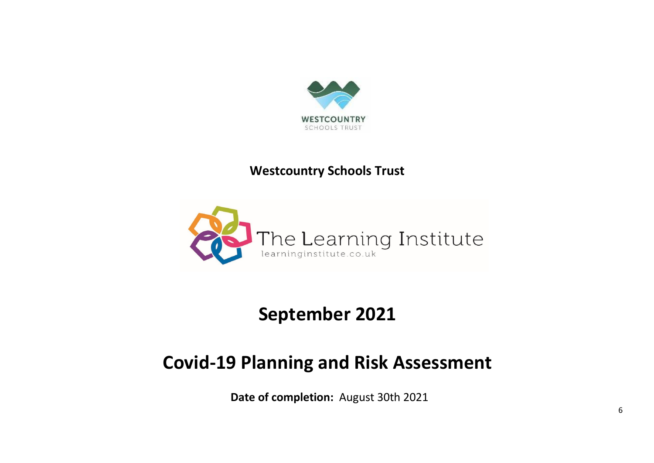

# **Westcountry Schools Trust**



# **September 2021**

# **Covid-19 Planning and Risk Assessment**

**Date of completion:** August 30th 2021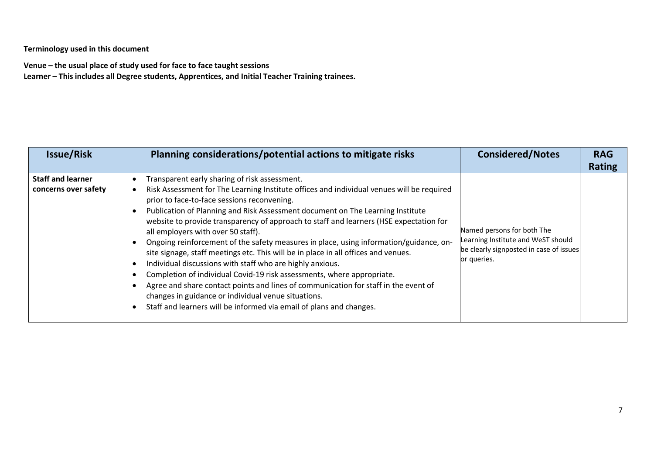**Terminology used in this document**

**Venue – the usual place of study used for face to face taught sessions**

**Learner – This includes all Degree students, Apprentices, and Initial Teacher Training trainees.**

| <b>Issue/Risk</b>                                | Planning considerations/potential actions to mitigate risks                                                                                                                                                                                                                                                                                                                                                                                                                                                                                                                                                                                                                                                                                                                                                                                                                                                                                             | <b>Considered/Notes</b>                                                                                                    | <b>RAG</b><br><b>Rating</b> |
|--------------------------------------------------|---------------------------------------------------------------------------------------------------------------------------------------------------------------------------------------------------------------------------------------------------------------------------------------------------------------------------------------------------------------------------------------------------------------------------------------------------------------------------------------------------------------------------------------------------------------------------------------------------------------------------------------------------------------------------------------------------------------------------------------------------------------------------------------------------------------------------------------------------------------------------------------------------------------------------------------------------------|----------------------------------------------------------------------------------------------------------------------------|-----------------------------|
| <b>Staff and learner</b><br>concerns over safety | Transparent early sharing of risk assessment.<br>Risk Assessment for The Learning Institute offices and individual venues will be required<br>prior to face-to-face sessions reconvening.<br>Publication of Planning and Risk Assessment document on The Learning Institute<br>website to provide transparency of approach to staff and learners (HSE expectation for<br>all employers with over 50 staff).<br>Ongoing reinforcement of the safety measures in place, using information/guidance, on-<br>site signage, staff meetings etc. This will be in place in all offices and venues.<br>Individual discussions with staff who are highly anxious.<br>Completion of individual Covid-19 risk assessments, where appropriate.<br>Agree and share contact points and lines of communication for staff in the event of<br>changes in guidance or individual venue situations.<br>Staff and learners will be informed via email of plans and changes. | Named persons for both The<br>Learning Institute and WeST should<br>be clearly signposted in case of issues<br>or queries. |                             |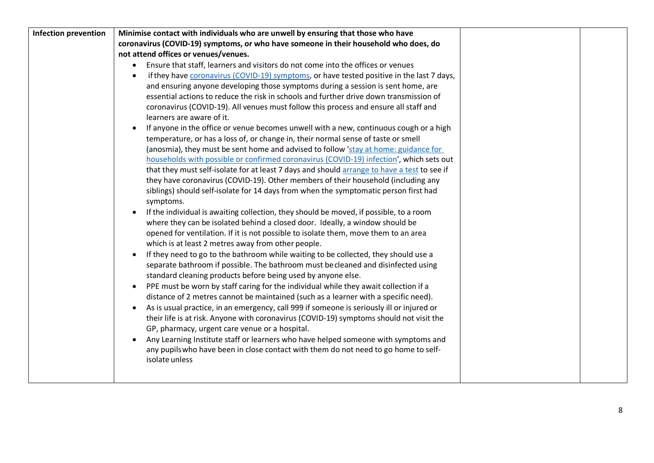| <b>Infection prevention</b> | Minimise contact with individuals who are unwell by ensuring that those who have                  |  |
|-----------------------------|---------------------------------------------------------------------------------------------------|--|
|                             | coronavirus (COVID-19) symptoms, or who have someone in their household who does, do              |  |
|                             | not attend offices or venues/venues.                                                              |  |
|                             | Ensure that staff, learners and visitors do not come into the offices or venues                   |  |
|                             | if they have coronavirus (COVID-19) symptoms, or have tested positive in the last 7 days,         |  |
|                             | and ensuring anyone developing those symptoms during a session is sent home, are                  |  |
|                             | essential actions to reduce the risk in schools and further drive down transmission of            |  |
|                             | coronavirus (COVID-19). All venues must follow this process and ensure all staff and              |  |
|                             | learners are aware of it.                                                                         |  |
|                             | If anyone in the office or venue becomes unwell with a new, continuous cough or a high            |  |
|                             | temperature, or has a loss of, or change in, their normal sense of taste or smell                 |  |
|                             | (anosmia), they must be sent home and advised to follow 'stay at home: guidance for               |  |
|                             | households with possible or confirmed coronavirus (COVID-19) infection', which sets out           |  |
|                             | that they must self-isolate for at least 7 days and should arrange to have a test to see if       |  |
|                             | they have coronavirus (COVID-19). Other members of their household (including any                 |  |
|                             | siblings) should self-isolate for 14 days from when the symptomatic person first had              |  |
|                             | symptoms.                                                                                         |  |
|                             | If the individual is awaiting collection, they should be moved, if possible, to a room            |  |
|                             | where they can be isolated behind a closed door. Ideally, a window should be                      |  |
|                             | opened for ventilation. If it is not possible to isolate them, move them to an area               |  |
|                             | which is at least 2 metres away from other people.                                                |  |
|                             | If they need to go to the bathroom while waiting to be collected, they should use a               |  |
|                             | separate bathroom if possible. The bathroom must be cleaned and disinfected using                 |  |
|                             | standard cleaning products before being used by anyone else.                                      |  |
|                             | PPE must be worn by staff caring for the individual while they await collection if a<br>$\bullet$ |  |
|                             | distance of 2 metres cannot be maintained (such as a learner with a specific need).               |  |
|                             | As is usual practice, in an emergency, call 999 if someone is seriously ill or injured or         |  |
|                             | their life is at risk. Anyone with coronavirus (COVID-19) symptoms should not visit the           |  |
|                             | GP, pharmacy, urgent care venue or a hospital.                                                    |  |
|                             | Any Learning Institute staff or learners who have helped someone with symptoms and                |  |
|                             | any pupils who have been in close contact with them do not need to go home to self-               |  |
|                             | isolate unless                                                                                    |  |
|                             |                                                                                                   |  |
|                             |                                                                                                   |  |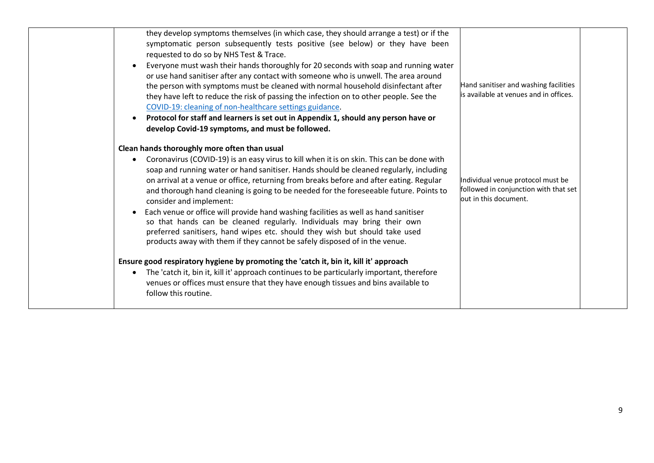| they develop symptoms themselves (in which case, they should arrange a test) or if the<br>symptomatic person subsequently tests positive (see below) or they have been<br>requested to do so by NHS Test & Trace.<br>Everyone must wash their hands thoroughly for 20 seconds with soap and running water<br>or use hand sanitiser after any contact with someone who is unwell. The area around<br>the person with symptoms must be cleaned with normal household disinfectant after<br>they have left to reduce the risk of passing the infection on to other people. See the<br>COVID-19: cleaning of non-healthcare settings guidance.<br>Protocol for staff and learners is set out in Appendix 1, should any person have or<br>develop Covid-19 symptoms, and must be followed.                                                                                                                                                                                                                                                                                                  | Hand sanitiser and washing facilities<br>is available at venues and in offices.                     |  |
|----------------------------------------------------------------------------------------------------------------------------------------------------------------------------------------------------------------------------------------------------------------------------------------------------------------------------------------------------------------------------------------------------------------------------------------------------------------------------------------------------------------------------------------------------------------------------------------------------------------------------------------------------------------------------------------------------------------------------------------------------------------------------------------------------------------------------------------------------------------------------------------------------------------------------------------------------------------------------------------------------------------------------------------------------------------------------------------|-----------------------------------------------------------------------------------------------------|--|
| Clean hands thoroughly more often than usual<br>Coronavirus (COVID-19) is an easy virus to kill when it is on skin. This can be done with<br>soap and running water or hand sanitiser. Hands should be cleaned regularly, including<br>on arrival at a venue or office, returning from breaks before and after eating. Regular<br>and thorough hand cleaning is going to be needed for the foreseeable future. Points to<br>consider and implement:<br>Each venue or office will provide hand washing facilities as well as hand sanitiser<br>so that hands can be cleaned regularly. Individuals may bring their own<br>preferred sanitisers, hand wipes etc. should they wish but should take used<br>products away with them if they cannot be safely disposed of in the venue.<br>Ensure good respiratory hygiene by promoting the 'catch it, bin it, kill it' approach<br>The 'catch it, bin it, kill it' approach continues to be particularly important, therefore<br>venues or offices must ensure that they have enough tissues and bins available to<br>follow this routine. | Individual venue protocol must be<br>followed in conjunction with that set<br>out in this document. |  |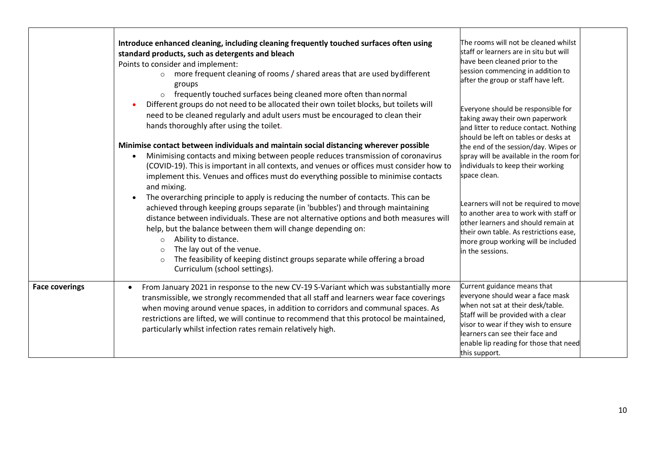|                       | Introduce enhanced cleaning, including cleaning frequently touched surfaces often using<br>standard products, such as detergents and bleach<br>Points to consider and implement:<br>more frequent cleaning of rooms / shared areas that are used by different<br>groups<br>frequently touched surfaces being cleaned more often than normal<br>$\circ$<br>Different groups do not need to be allocated their own toilet blocks, but toilets will<br>$\bullet$<br>need to be cleaned regularly and adult users must be encouraged to clean their<br>hands thoroughly after using the toilet.<br>Minimise contact between individuals and maintain social distancing wherever possible<br>Minimising contacts and mixing between people reduces transmission of coronavirus<br>$\bullet$<br>(COVID-19). This is important in all contexts, and venues or offices must consider how to<br>implement this. Venues and offices must do everything possible to minimise contacts<br>and mixing.<br>The overarching principle to apply is reducing the number of contacts. This can be<br>$\bullet$<br>achieved through keeping groups separate (in 'bubbles') and through maintaining<br>distance between individuals. These are not alternative options and both measures will<br>help, but the balance between them will change depending on:<br>Ability to distance.<br>$\circ$<br>The lay out of the venue.<br>$\circ$<br>The feasibility of keeping distinct groups separate while offering a broad<br>$\circ$<br>Curriculum (school settings). | The rooms will not be cleaned whilst<br>staff or learners are in situ but will<br>have been cleaned prior to the<br>session commencing in addition to<br>after the group or staff have left.<br>Everyone should be responsible for<br>taking away their own paperwork<br>and litter to reduce contact. Nothing<br>should be left on tables or desks at<br>the end of the session/day. Wipes or<br>spray will be available in the room for<br>individuals to keep their working<br>space clean.<br>Learners will not be required to move<br>to another area to work with staff or<br>other learners and should remain at<br>their own table. As restrictions ease,<br>more group working will be included<br>in the sessions. |  |
|-----------------------|------------------------------------------------------------------------------------------------------------------------------------------------------------------------------------------------------------------------------------------------------------------------------------------------------------------------------------------------------------------------------------------------------------------------------------------------------------------------------------------------------------------------------------------------------------------------------------------------------------------------------------------------------------------------------------------------------------------------------------------------------------------------------------------------------------------------------------------------------------------------------------------------------------------------------------------------------------------------------------------------------------------------------------------------------------------------------------------------------------------------------------------------------------------------------------------------------------------------------------------------------------------------------------------------------------------------------------------------------------------------------------------------------------------------------------------------------------------------------------------------------------------------------------------------|------------------------------------------------------------------------------------------------------------------------------------------------------------------------------------------------------------------------------------------------------------------------------------------------------------------------------------------------------------------------------------------------------------------------------------------------------------------------------------------------------------------------------------------------------------------------------------------------------------------------------------------------------------------------------------------------------------------------------|--|
| <b>Face coverings</b> | From January 2021 in response to the new CV-19 S-Variant which was substantially more<br>transmissible, we strongly recommended that all staff and learners wear face coverings<br>when moving around venue spaces, in addition to corridors and communal spaces. As<br>restrictions are lifted, we will continue to recommend that this protocol be maintained,<br>particularly whilst infection rates remain relatively high.                                                                                                                                                                                                                                                                                                                                                                                                                                                                                                                                                                                                                                                                                                                                                                                                                                                                                                                                                                                                                                                                                                                | Current guidance means that<br>everyone should wear a face mask<br>when not sat at their desk/table.<br>Staff will be provided with a clear<br>visor to wear if they wish to ensure<br>learners can see their face and<br>enable lip reading for those that need<br>this support.                                                                                                                                                                                                                                                                                                                                                                                                                                            |  |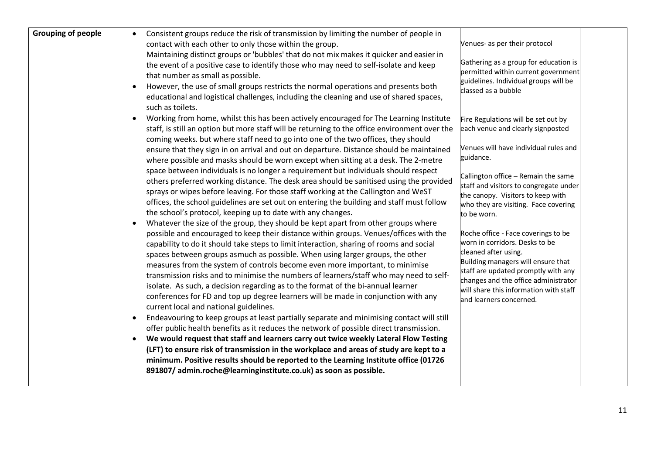| <b>Grouping of people</b><br>Consistent groups reduce the risk of transmission by limiting the number of people in<br>contact with each other to only those within the group.<br>Maintaining distinct groups or 'bubbles' that do not mix makes it quicker and easier in<br>the event of a positive case to identify those who may need to self-isolate and keep<br>that number as small as possible.<br>However, the use of small groups restricts the normal operations and presents both<br>educational and logistical challenges, including the cleaning and use of shared spaces,<br>such as toilets.                                                                                                                                                                                                                                                                                                                                                                                                                                                                                                                                                                                                                                                                                              | Venues- as per their protocol<br>Gathering as a group for education is<br>permitted within current government<br>guidelines. Individual groups will be<br>classed as a bubble                                                                                                           |  |
|---------------------------------------------------------------------------------------------------------------------------------------------------------------------------------------------------------------------------------------------------------------------------------------------------------------------------------------------------------------------------------------------------------------------------------------------------------------------------------------------------------------------------------------------------------------------------------------------------------------------------------------------------------------------------------------------------------------------------------------------------------------------------------------------------------------------------------------------------------------------------------------------------------------------------------------------------------------------------------------------------------------------------------------------------------------------------------------------------------------------------------------------------------------------------------------------------------------------------------------------------------------------------------------------------------|-----------------------------------------------------------------------------------------------------------------------------------------------------------------------------------------------------------------------------------------------------------------------------------------|--|
| Working from home, whilst this has been actively encouraged for The Learning Institute<br>staff, is still an option but more staff will be returning to the office environment over the<br>coming weeks. but where staff need to go into one of the two offices, they should<br>ensure that they sign in on arrival and out on departure. Distance should be maintained<br>guidance.<br>where possible and masks should be worn except when sitting at a desk. The 2-metre                                                                                                                                                                                                                                                                                                                                                                                                                                                                                                                                                                                                                                                                                                                                                                                                                              | Fire Regulations will be set out by<br>each venue and clearly signposted<br>Venues will have individual rules and                                                                                                                                                                       |  |
| space between individuals is no longer a requirement but individuals should respect<br>others preferred working distance. The desk area should be sanitised using the provided<br>sprays or wipes before leaving. For those staff working at the Callington and WeST<br>offices, the school guidelines are set out on entering the building and staff must follow<br>the school's protocol, keeping up to date with any changes.<br>to be worn.                                                                                                                                                                                                                                                                                                                                                                                                                                                                                                                                                                                                                                                                                                                                                                                                                                                         | Callington office - Remain the same<br>staff and visitors to congregate under<br>the canopy. Visitors to keep with<br>who they are visiting. Face covering                                                                                                                              |  |
| Whatever the size of the group, they should be kept apart from other groups where<br>possible and encouraged to keep their distance within groups. Venues/offices with the<br>capability to do it should take steps to limit interaction, sharing of rooms and social<br>spaces between groups asmuch as possible. When using larger groups, the other<br>measures from the system of controls become even more important, to minimise<br>transmission risks and to minimise the numbers of learners/staff who may need to self-<br>isolate. As such, a decision regarding as to the format of the bi-annual learner<br>conferences for FD and top up degree learners will be made in conjunction with any<br>current local and national guidelines.<br>Endeavouring to keep groups at least partially separate and minimising contact will still<br>offer public health benefits as it reduces the network of possible direct transmission.<br>We would request that staff and learners carry out twice weekly Lateral Flow Testing<br>$\bullet$<br>(LFT) to ensure risk of transmission in the workplace and areas of study are kept to a<br>minimum. Positive results should be reported to the Learning Institute office (01726<br>891807/admin.roche@learninginstitute.co.uk) as soon as possible. | Roche office - Face coverings to be<br>worn in corridors. Desks to be<br>cleaned after using.<br>Building managers will ensure that<br>staff are updated promptly with any<br>changes and the office administrator<br>will share this information with staff<br>and learners concerned. |  |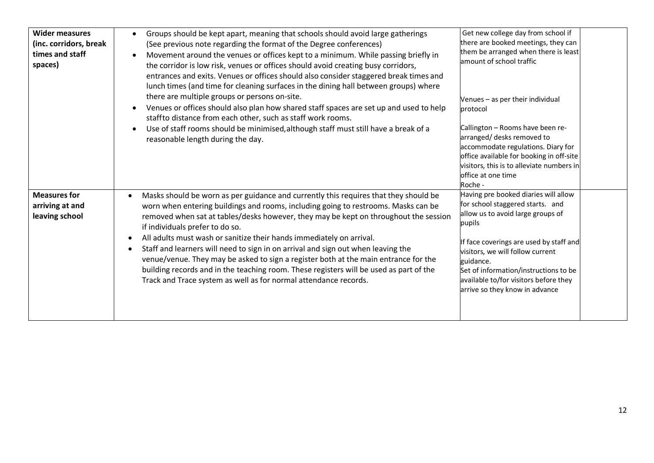| <b>Wider measures</b><br>(inc. corridors, break<br>times and staff<br>spaces) | Groups should be kept apart, meaning that schools should avoid large gatherings<br>(See previous note regarding the format of the Degree conferences)<br>Movement around the venues or offices kept to a minimum. While passing briefly in<br>the corridor is low risk, venues or offices should avoid creating busy corridors,<br>entrances and exits. Venues or offices should also consider staggered break times and<br>lunch times (and time for cleaning surfaces in the dining hall between groups) where<br>there are multiple groups or persons on-site.<br>Venues or offices should also plan how shared staff spaces are set up and used to help<br>staffto distance from each other, such as staff work rooms.<br>Use of staff rooms should be minimised, although staff must still have a break of a<br>reasonable length during the day. | Get new college day from school if<br>there are booked meetings, they can<br>them be arranged when there is least<br>amount of school traffic<br>Venues - as per their individual<br>protocol<br>Callington - Rooms have been re-<br>arranged/ desks removed to<br>accommodate regulations. Diary for<br>office available for booking in off-site<br>visitors, this is to alleviate numbers in<br>office at one time<br>Roche - |  |
|-------------------------------------------------------------------------------|--------------------------------------------------------------------------------------------------------------------------------------------------------------------------------------------------------------------------------------------------------------------------------------------------------------------------------------------------------------------------------------------------------------------------------------------------------------------------------------------------------------------------------------------------------------------------------------------------------------------------------------------------------------------------------------------------------------------------------------------------------------------------------------------------------------------------------------------------------|---------------------------------------------------------------------------------------------------------------------------------------------------------------------------------------------------------------------------------------------------------------------------------------------------------------------------------------------------------------------------------------------------------------------------------|--|
| <b>Measures for</b><br>arriving at and<br>leaving school                      | Masks should be worn as per guidance and currently this requires that they should be<br>worn when entering buildings and rooms, including going to restrooms. Masks can be<br>removed when sat at tables/desks however, they may be kept on throughout the session<br>if individuals prefer to do so.<br>All adults must wash or sanitize their hands immediately on arrival.<br>Staff and learners will need to sign in on arrival and sign out when leaving the<br>venue/venue. They may be asked to sign a register both at the main entrance for the<br>building records and in the teaching room. These registers will be used as part of the<br>Track and Trace system as well as for normal attendance records.                                                                                                                                 | Having pre booked diaries will allow<br>for school staggered starts. and<br>allow us to avoid large groups of<br>pupils<br>If face coverings are used by staff and<br>visitors, we will follow current<br>guidance.<br>Set of information/instructions to be<br>available to/for visitors before they<br>arrive so they know in advance                                                                                         |  |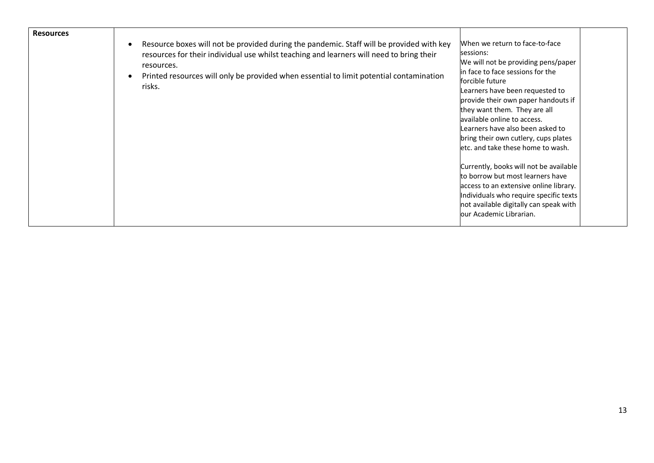| <b>Resources</b> | Resource boxes will not be provided during the pandemic. Staff will be provided with key<br>$\bullet$<br>resources for their individual use whilst teaching and learners will need to bring their<br>resources.<br>Printed resources will only be provided when essential to limit potential contamination<br>risks. | When we return to face-to-face<br>sessions:<br>We will not be providing pens/paper<br>in face to face sessions for the<br>forcible future<br>Learners have been requested to<br>provide their own paper handouts if<br>they want them. They are all<br>available online to access.<br>Learners have also been asked to<br>bring their own cutlery, cups plates<br>letc. and take these home to wash. |  |
|------------------|----------------------------------------------------------------------------------------------------------------------------------------------------------------------------------------------------------------------------------------------------------------------------------------------------------------------|------------------------------------------------------------------------------------------------------------------------------------------------------------------------------------------------------------------------------------------------------------------------------------------------------------------------------------------------------------------------------------------------------|--|
|                  |                                                                                                                                                                                                                                                                                                                      | Currently, books will not be available<br>to borrow but most learners have<br>access to an extensive online library.<br>Individuals who require specific texts<br>not available digitally can speak with<br>lour Academic Librarian.                                                                                                                                                                 |  |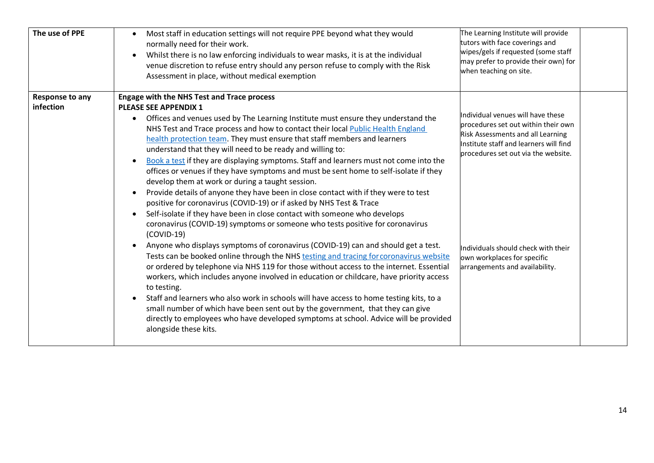| The use of PPE                      | Most staff in education settings will not require PPE beyond what they would<br>$\bullet$<br>normally need for their work.<br>Whilst there is no law enforcing individuals to wear masks, it is at the individual<br>venue discretion to refuse entry should any person refuse to comply with the Risk<br>Assessment in place, without medical exemption                                                                                                                                                                                                                                                                                                                                                                                                                                                                                                                                                                                                                                                                                                                                                                                                                                                                                                                                                                                                                                                                                                                                                                                                                                                                                                                                           | The Learning Institute will provide<br>tutors with face coverings and<br>wipes/gels if requested (some staff<br>may prefer to provide their own) for<br>when teaching on site.                                                                                                                         |  |
|-------------------------------------|----------------------------------------------------------------------------------------------------------------------------------------------------------------------------------------------------------------------------------------------------------------------------------------------------------------------------------------------------------------------------------------------------------------------------------------------------------------------------------------------------------------------------------------------------------------------------------------------------------------------------------------------------------------------------------------------------------------------------------------------------------------------------------------------------------------------------------------------------------------------------------------------------------------------------------------------------------------------------------------------------------------------------------------------------------------------------------------------------------------------------------------------------------------------------------------------------------------------------------------------------------------------------------------------------------------------------------------------------------------------------------------------------------------------------------------------------------------------------------------------------------------------------------------------------------------------------------------------------------------------------------------------------------------------------------------------------|--------------------------------------------------------------------------------------------------------------------------------------------------------------------------------------------------------------------------------------------------------------------------------------------------------|--|
| <b>Response to any</b><br>infection | <b>Engage with the NHS Test and Trace process</b><br><b>PLEASE SEE APPENDIX 1</b><br>Offices and venues used by The Learning Institute must ensure they understand the<br>$\bullet$<br>NHS Test and Trace process and how to contact their local Public Health England<br>health protection team. They must ensure that staff members and learners<br>understand that they will need to be ready and willing to:<br>Book a test if they are displaying symptoms. Staff and learners must not come into the<br>offices or venues if they have symptoms and must be sent home to self-isolate if they<br>develop them at work or during a taught session.<br>Provide details of anyone they have been in close contact with if they were to test<br>positive for coronavirus (COVID-19) or if asked by NHS Test & Trace<br>Self-isolate if they have been in close contact with someone who develops<br>coronavirus (COVID-19) symptoms or someone who tests positive for coronavirus<br>$(COVID-19)$<br>Anyone who displays symptoms of coronavirus (COVID-19) can and should get a test.<br>Tests can be booked online through the NHS testing and tracing for coronavirus website<br>or ordered by telephone via NHS 119 for those without access to the internet. Essential<br>workers, which includes anyone involved in education or childcare, have priority access<br>to testing.<br>Staff and learners who also work in schools will have access to home testing kits, to a<br>$\bullet$<br>small number of which have been sent out by the government, that they can give<br>directly to employees who have developed symptoms at school. Advice will be provided<br>alongside these kits. | Individual venues will have these<br>procedures set out within their own<br>Risk Assessments and all Learning<br>Institute staff and learners will find<br>procedures set out via the website.<br>Individuals should check with their<br>own workplaces for specific<br>arrangements and availability. |  |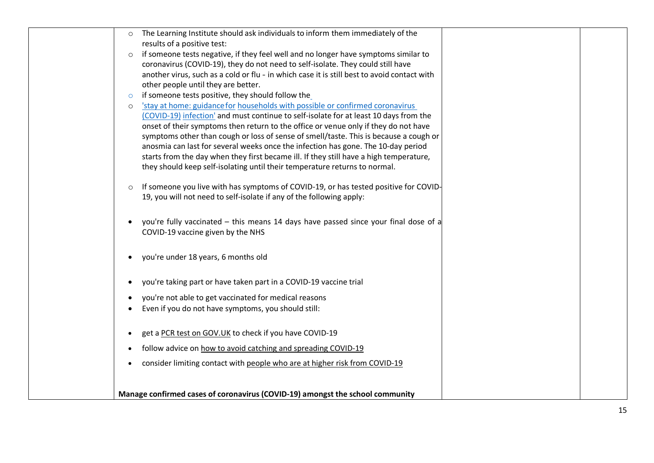| The Learning Institute should ask individuals to inform them immediately of the<br>$\circ$      |  |
|-------------------------------------------------------------------------------------------------|--|
| results of a positive test:                                                                     |  |
| if someone tests negative, if they feel well and no longer have symptoms similar to<br>$\circ$  |  |
| coronavirus (COVID-19), they do not need to self-isolate. They could still have                 |  |
| another virus, such as a cold or flu - in which case it is still best to avoid contact with     |  |
| other people until they are better.                                                             |  |
| if someone tests positive, they should follow the<br>$\circ$                                    |  |
| 'stay at home: guidance for households with possible or confirmed coronavirus<br>$\circ$        |  |
| (COVID-19) infection' and must continue to self-isolate for at least 10 days from the           |  |
| onset of their symptoms then return to the office or venue only if they do not have             |  |
| symptoms other than cough or loss of sense of smell/taste. This is because a cough or           |  |
| anosmia can last for several weeks once the infection has gone. The 10-day period               |  |
| starts from the day when they first became ill. If they still have a high temperature,          |  |
| they should keep self-isolating until their temperature returns to normal.                      |  |
| If someone you live with has symptoms of COVID-19, or has tested positive for COVID-<br>$\circ$ |  |
| 19, you will not need to self-isolate if any of the following apply:                            |  |
|                                                                                                 |  |
|                                                                                                 |  |
| you're fully vaccinated - this means 14 days have passed since your final dose of a             |  |
| COVID-19 vaccine given by the NHS                                                               |  |
|                                                                                                 |  |
| you're under 18 years, 6 months old                                                             |  |
|                                                                                                 |  |
| you're taking part or have taken part in a COVID-19 vaccine trial<br>$\bullet$                  |  |
| you're not able to get vaccinated for medical reasons                                           |  |
| Even if you do not have symptoms, you should still:                                             |  |
|                                                                                                 |  |
| get a PCR test on GOV.UK to check if you have COVID-19<br>$\bullet$                             |  |
| follow advice on how to avoid catching and spreading COVID-19                                   |  |
| consider limiting contact with people who are at higher risk from COVID-19<br>$\bullet$         |  |
|                                                                                                 |  |
|                                                                                                 |  |
| Manage confirmed cases of coronavirus (COVID-19) amongst the school community                   |  |
|                                                                                                 |  |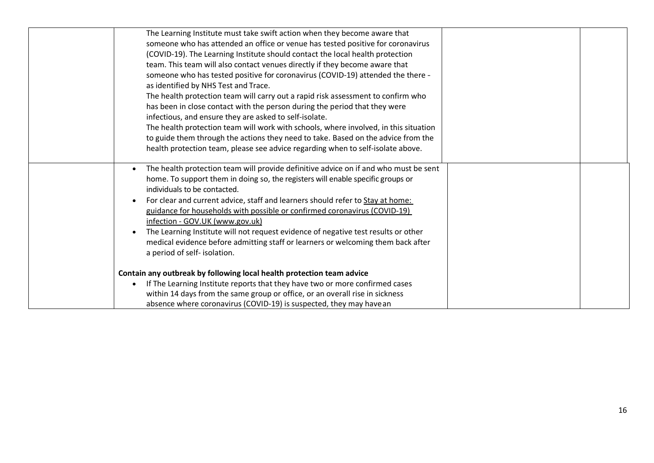| The Learning Institute must take swift action when they become aware that            |  |
|--------------------------------------------------------------------------------------|--|
| someone who has attended an office or venue has tested positive for coronavirus      |  |
| (COVID-19). The Learning Institute should contact the local health protection        |  |
| team. This team will also contact venues directly if they become aware that          |  |
| someone who has tested positive for coronavirus (COVID-19) attended the there -      |  |
| as identified by NHS Test and Trace.                                                 |  |
| The health protection team will carry out a rapid risk assessment to confirm who     |  |
| has been in close contact with the person during the period that they were           |  |
| infectious, and ensure they are asked to self-isolate.                               |  |
| The health protection team will work with schools, where involved, in this situation |  |
| to guide them through the actions they need to take. Based on the advice from the    |  |
| health protection team, please see advice regarding when to self-isolate above.      |  |
|                                                                                      |  |
| The health protection team will provide definitive advice on if and who must be sent |  |
| home. To support them in doing so, the registers will enable specific groups or      |  |
| individuals to be contacted.                                                         |  |
| For clear and current advice, staff and learners should refer to Stay at home:       |  |
| guidance for households with possible or confirmed coronavirus (COVID-19)            |  |
| infection - GOV.UK (www.gov.uk)                                                      |  |
| The Learning Institute will not request evidence of negative test results or other   |  |
| medical evidence before admitting staff or learners or welcoming them back after     |  |
| a period of self- isolation.                                                         |  |
|                                                                                      |  |
| Contain any outbreak by following local health protection team advice                |  |
| If The Learning Institute reports that they have two or more confirmed cases         |  |
| within 14 days from the same group or office, or an overall rise in sickness         |  |
| absence where coronavirus (COVID-19) is suspected, they may have an                  |  |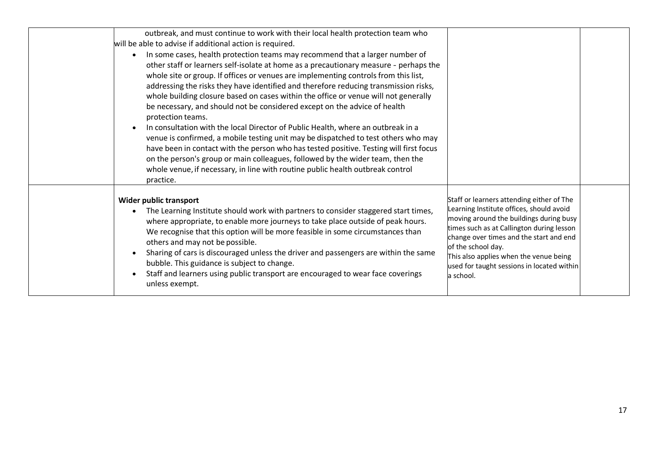| outbreak, and must continue to work with their local health protection team who<br>will be able to advise if additional action is required.<br>In some cases, health protection teams may recommend that a larger number of<br>other staff or learners self-isolate at home as a precautionary measure - perhaps the<br>whole site or group. If offices or venues are implementing controls from this list,<br>addressing the risks they have identified and therefore reducing transmission risks,<br>whole building closure based on cases within the office or venue will not generally<br>be necessary, and should not be considered except on the advice of health<br>protection teams.<br>In consultation with the local Director of Public Health, where an outbreak in a<br>venue is confirmed, a mobile testing unit may be dispatched to test others who may<br>have been in contact with the person who has tested positive. Testing will first focus<br>on the person's group or main colleagues, followed by the wider team, then the<br>whole venue, if necessary, in line with routine public health outbreak control<br>practice. |                                                                                                                                                                                                                                                                                                                                                      |  |
|---------------------------------------------------------------------------------------------------------------------------------------------------------------------------------------------------------------------------------------------------------------------------------------------------------------------------------------------------------------------------------------------------------------------------------------------------------------------------------------------------------------------------------------------------------------------------------------------------------------------------------------------------------------------------------------------------------------------------------------------------------------------------------------------------------------------------------------------------------------------------------------------------------------------------------------------------------------------------------------------------------------------------------------------------------------------------------------------------------------------------------------------------|------------------------------------------------------------------------------------------------------------------------------------------------------------------------------------------------------------------------------------------------------------------------------------------------------------------------------------------------------|--|
| Wider public transport<br>The Learning Institute should work with partners to consider staggered start times,<br>where appropriate, to enable more journeys to take place outside of peak hours.<br>We recognise that this option will be more feasible in some circumstances than<br>others and may not be possible.<br>Sharing of cars is discouraged unless the driver and passengers are within the same<br>bubble. This guidance is subject to change.<br>Staff and learners using public transport are encouraged to wear face coverings<br>unless exempt.                                                                                                                                                                                                                                                                                                                                                                                                                                                                                                                                                                                  | Staff or learners attending either of The<br>Learning Institute offices, should avoid<br>moving around the buildings during busy<br>times such as at Callington during lesson<br>change over times and the start and end<br>of the school day.<br>This also applies when the venue being<br>used for taught sessions in located within<br>la school. |  |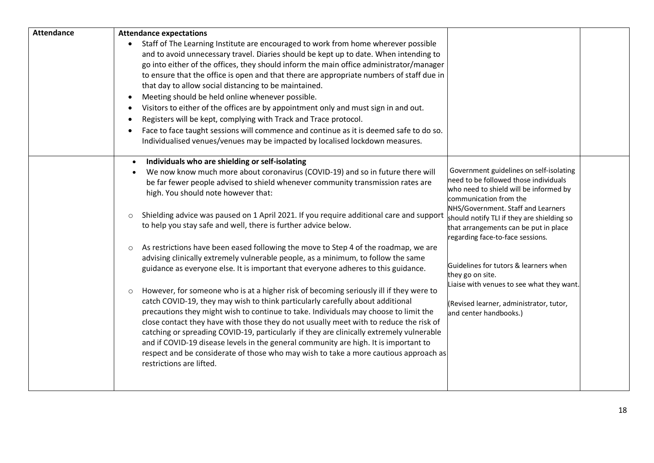| <b>Attendance</b> | <b>Attendance expectations</b>                                                                                                                                                   |                                                                                  |  |
|-------------------|----------------------------------------------------------------------------------------------------------------------------------------------------------------------------------|----------------------------------------------------------------------------------|--|
|                   | Staff of The Learning Institute are encouraged to work from home wherever possible<br>$\bullet$                                                                                  |                                                                                  |  |
|                   | and to avoid unnecessary travel. Diaries should be kept up to date. When intending to                                                                                            |                                                                                  |  |
|                   | go into either of the offices, they should inform the main office administrator/manager                                                                                          |                                                                                  |  |
|                   | to ensure that the office is open and that there are appropriate numbers of staff due in                                                                                         |                                                                                  |  |
|                   | that day to allow social distancing to be maintained.                                                                                                                            |                                                                                  |  |
|                   | Meeting should be held online whenever possible.<br>$\bullet$                                                                                                                    |                                                                                  |  |
|                   | Visitors to either of the offices are by appointment only and must sign in and out.<br>$\bullet$                                                                                 |                                                                                  |  |
|                   | Registers will be kept, complying with Track and Trace protocol.<br>$\bullet$                                                                                                    |                                                                                  |  |
|                   | Face to face taught sessions will commence and continue as it is deemed safe to do so.<br>$\bullet$                                                                              |                                                                                  |  |
|                   | Individualised venues/venues may be impacted by localised lockdown measures.                                                                                                     |                                                                                  |  |
|                   |                                                                                                                                                                                  |                                                                                  |  |
|                   | Individuals who are shielding or self-isolating                                                                                                                                  |                                                                                  |  |
|                   | We now know much more about coronavirus (COVID-19) and so in future there will                                                                                                   | Government guidelines on self-isolating<br>need to be followed those individuals |  |
|                   | be far fewer people advised to shield whenever community transmission rates are                                                                                                  | who need to shield will be informed by                                           |  |
|                   | high. You should note however that:                                                                                                                                              | communication from the                                                           |  |
|                   |                                                                                                                                                                                  | NHS/Government. Staff and Learners                                               |  |
|                   | Shielding advice was paused on 1 April 2021. If you require additional care and support<br>$\circ$                                                                               | should notify TLI if they are shielding so                                       |  |
|                   | to help you stay safe and well, there is further advice below.                                                                                                                   | that arrangements can be put in place                                            |  |
|                   |                                                                                                                                                                                  | regarding face-to-face sessions.                                                 |  |
|                   | As restrictions have been eased following the move to Step 4 of the roadmap, we are<br>$\circ$                                                                                   |                                                                                  |  |
|                   | advising clinically extremely vulnerable people, as a minimum, to follow the same                                                                                                | Guidelines for tutors & learners when                                            |  |
|                   | guidance as everyone else. It is important that everyone adheres to this guidance.                                                                                               | they go on site.                                                                 |  |
|                   |                                                                                                                                                                                  | Liaise with venues to see what they want.                                        |  |
|                   | However, for someone who is at a higher risk of becoming seriously ill if they were to<br>$\circ$                                                                                |                                                                                  |  |
|                   | catch COVID-19, they may wish to think particularly carefully about additional                                                                                                   | (Revised learner, administrator, tutor,                                          |  |
|                   | precautions they might wish to continue to take. Individuals may choose to limit the                                                                                             | and center handbooks.)                                                           |  |
|                   | close contact they have with those they do not usually meet with to reduce the risk of                                                                                           |                                                                                  |  |
|                   | catching or spreading COVID-19, particularly if they are clinically extremely vulnerable<br>and if COVID-19 disease levels in the general community are high. It is important to |                                                                                  |  |
|                   | respect and be considerate of those who may wish to take a more cautious approach as                                                                                             |                                                                                  |  |
|                   | restrictions are lifted.                                                                                                                                                         |                                                                                  |  |
|                   |                                                                                                                                                                                  |                                                                                  |  |
|                   |                                                                                                                                                                                  |                                                                                  |  |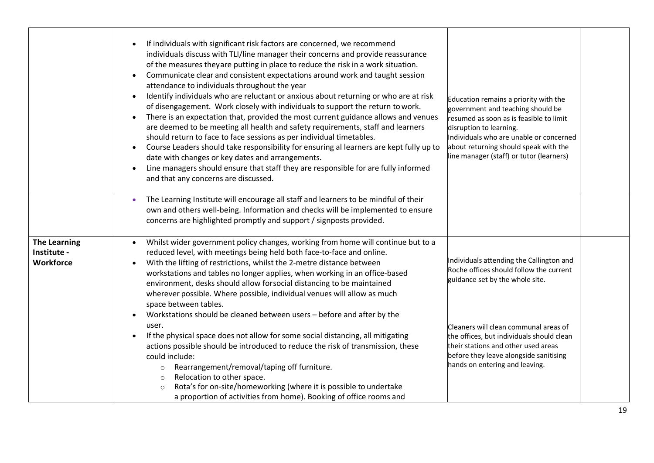|                                                 | If individuals with significant risk factors are concerned, we recommend<br>individuals discuss with TLI/line manager their concerns and provide reassurance<br>of the measures theyare putting in place to reduce the risk in a work situation.<br>Communicate clear and consistent expectations around work and taught session<br>$\bullet$<br>attendance to individuals throughout the year<br>Identify individuals who are reluctant or anxious about returning or who are at risk<br>$\bullet$<br>of disengagement. Work closely with individuals to support the return to work.<br>There is an expectation that, provided the most current guidance allows and venues<br>$\bullet$<br>are deemed to be meeting all health and safety requirements, staff and learners<br>should return to face to face sessions as per individual timetables.<br>Course Leaders should take responsibility for ensuring al learners are kept fully up to<br>$\bullet$<br>date with changes or key dates and arrangements.<br>Line managers should ensure that staff they are responsible for are fully informed<br>and that any concerns are discussed. | Education remains a priority with the<br>government and teaching should be<br>resumed as soon as is feasible to limit<br>disruption to learning.<br>Individuals who are unable or concerned<br>about returning should speak with the<br>line manager (staff) or tutor (learners) |  |
|-------------------------------------------------|-----------------------------------------------------------------------------------------------------------------------------------------------------------------------------------------------------------------------------------------------------------------------------------------------------------------------------------------------------------------------------------------------------------------------------------------------------------------------------------------------------------------------------------------------------------------------------------------------------------------------------------------------------------------------------------------------------------------------------------------------------------------------------------------------------------------------------------------------------------------------------------------------------------------------------------------------------------------------------------------------------------------------------------------------------------------------------------------------------------------------------------------------|----------------------------------------------------------------------------------------------------------------------------------------------------------------------------------------------------------------------------------------------------------------------------------|--|
|                                                 | The Learning Institute will encourage all staff and learners to be mindful of their<br>$\bullet$<br>own and others well-being. Information and checks will be implemented to ensure<br>concerns are highlighted promptly and support / signposts provided.                                                                                                                                                                                                                                                                                                                                                                                                                                                                                                                                                                                                                                                                                                                                                                                                                                                                                    |                                                                                                                                                                                                                                                                                  |  |
| <b>The Learning</b><br>Institute -<br>Workforce | Whilst wider government policy changes, working from home will continue but to a<br>$\bullet$<br>reduced level, with meetings being held both face-to-face and online.<br>With the lifting of restrictions, whilst the 2-metre distance between<br>$\bullet$<br>workstations and tables no longer applies, when working in an office-based<br>environment, desks should allow forsocial distancing to be maintained<br>wherever possible. Where possible, individual venues will allow as much<br>space between tables.<br>Workstations should be cleaned between users - before and after by the                                                                                                                                                                                                                                                                                                                                                                                                                                                                                                                                             | Individuals attending the Callington and<br>Roche offices should follow the current<br>guidance set by the whole site.                                                                                                                                                           |  |
|                                                 | user.<br>If the physical space does not allow for some social distancing, all mitigating<br>$\bullet$<br>actions possible should be introduced to reduce the risk of transmission, these<br>could include:<br>Rearrangement/removal/taping off furniture.<br>$\circ$<br>Relocation to other space.<br>$\circ$<br>Rota's for on-site/homeworking (where it is possible to undertake<br>$\circ$<br>a proportion of activities from home). Booking of office rooms and                                                                                                                                                                                                                                                                                                                                                                                                                                                                                                                                                                                                                                                                           | Cleaners will clean communal areas of<br>the offices, but individuals should clean<br>their stations and other used areas<br>before they leave alongside sanitising<br>hands on entering and leaving.                                                                            |  |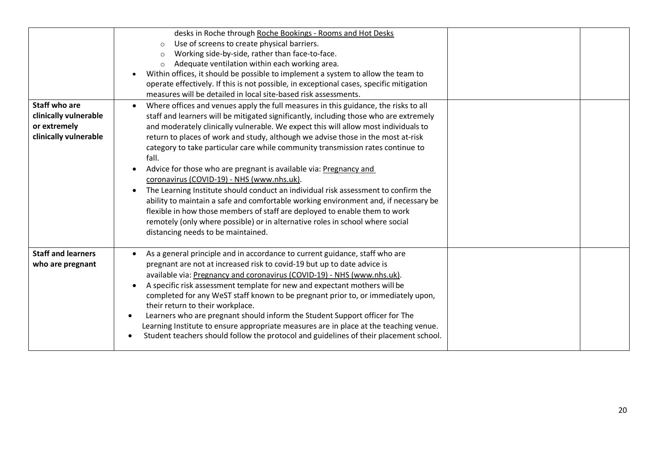| <b>Staff who are</b><br>clinically vulnerable<br>or extremely<br>clinically vulnerable | desks in Roche through Roche Bookings - Rooms and Hot Desks<br>Use of screens to create physical barriers.<br>$\circ$<br>Working side-by-side, rather than face-to-face.<br>Adequate ventilation within each working area.<br>$\circ$<br>Within offices, it should be possible to implement a system to allow the team to<br>operate effectively. If this is not possible, in exceptional cases, specific mitigation<br>measures will be detailed in local site-based risk assessments.<br>Where offices and venues apply the full measures in this guidance, the risks to all<br>staff and learners will be mitigated significantly, including those who are extremely<br>and moderately clinically vulnerable. We expect this will allow most individuals to<br>return to places of work and study, although we advise those in the most at-risk<br>category to take particular care while community transmission rates continue to<br>fall.<br>Advice for those who are pregnant is available via: Pregnancy and<br>coronavirus (COVID-19) - NHS (www.nhs.uk).<br>The Learning Institute should conduct an individual risk assessment to confirm the<br>ability to maintain a safe and comfortable working environment and, if necessary be<br>flexible in how those members of staff are deployed to enable them to work<br>remotely (only where possible) or in alternative roles in school where social |  |
|----------------------------------------------------------------------------------------|---------------------------------------------------------------------------------------------------------------------------------------------------------------------------------------------------------------------------------------------------------------------------------------------------------------------------------------------------------------------------------------------------------------------------------------------------------------------------------------------------------------------------------------------------------------------------------------------------------------------------------------------------------------------------------------------------------------------------------------------------------------------------------------------------------------------------------------------------------------------------------------------------------------------------------------------------------------------------------------------------------------------------------------------------------------------------------------------------------------------------------------------------------------------------------------------------------------------------------------------------------------------------------------------------------------------------------------------------------------------------------------------------------------|--|
| <b>Staff and learners</b><br>who are pregnant                                          | distancing needs to be maintained.<br>As a general principle and in accordance to current guidance, staff who are<br>pregnant are not at increased risk to covid-19 but up to date advice is<br>available via: Pregnancy and coronavirus (COVID-19) - NHS (www.nhs.uk).<br>A specific risk assessment template for new and expectant mothers will be<br>completed for any WeST staff known to be pregnant prior to, or immediately upon,<br>their return to their workplace.<br>Learners who are pregnant should inform the Student Support officer for The<br>Learning Institute to ensure appropriate measures are in place at the teaching venue.<br>Student teachers should follow the protocol and guidelines of their placement school.                                                                                                                                                                                                                                                                                                                                                                                                                                                                                                                                                                                                                                                                 |  |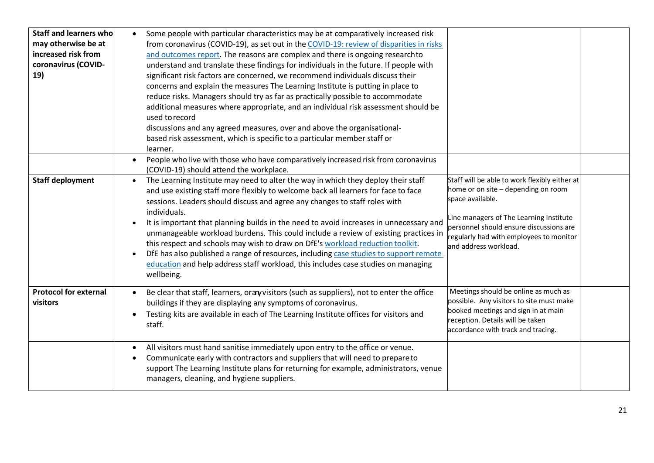| Staff and learners who<br>may otherwise be at<br>increased risk from<br>coronavirus (COVID-<br>19) | Some people with particular characteristics may be at comparatively increased risk<br>$\bullet$<br>from coronavirus (COVID-19), as set out in the COVID-19: review of disparities in risks<br>and outcomes report. The reasons are complex and there is ongoing research to<br>understand and translate these findings for individuals in the future. If people with<br>significant risk factors are concerned, we recommend individuals discuss their<br>concerns and explain the measures The Learning Institute is putting in place to<br>reduce risks. Managers should try as far as practically possible to accommodate<br>additional measures where appropriate, and an individual risk assessment should be<br>used to record<br>discussions and any agreed measures, over and above the organisational-<br>based risk assessment, which is specific to a particular member staff or<br>learner.                                                                                                                |
|----------------------------------------------------------------------------------------------------|------------------------------------------------------------------------------------------------------------------------------------------------------------------------------------------------------------------------------------------------------------------------------------------------------------------------------------------------------------------------------------------------------------------------------------------------------------------------------------------------------------------------------------------------------------------------------------------------------------------------------------------------------------------------------------------------------------------------------------------------------------------------------------------------------------------------------------------------------------------------------------------------------------------------------------------------------------------------------------------------------------------------|
|                                                                                                    | People who live with those who have comparatively increased risk from coronavirus<br>$\bullet$<br>(COVID-19) should attend the workplace.                                                                                                                                                                                                                                                                                                                                                                                                                                                                                                                                                                                                                                                                                                                                                                                                                                                                              |
| <b>Staff deployment</b>                                                                            | Staff will be able to work flexibly either at<br>The Learning Institute may need to alter the way in which they deploy their staff<br>$\bullet$<br>home or on site - depending on room<br>and use existing staff more flexibly to welcome back all learners for face to face<br>space available.<br>sessions. Leaders should discuss and agree any changes to staff roles with<br>individuals.<br>ine managers of The Learning Institute<br>It is important that planning builds in the need to avoid increases in unnecessary and<br>personnel should ensure discussions are<br>unmanageable workload burdens. This could include a review of existing practices in<br>regularly had with employees to monitor<br>this respect and schools may wish to draw on DfE's workload reduction toolkit.<br>and address workload.<br>DfE has also published a range of resources, including case studies to support remote<br>education and help address staff workload, this includes case studies on managing<br>wellbeing. |
| <b>Protocol for external</b><br>visitors                                                           | Meetings should be online as much as<br>Be clear that staff, learners, orany visitors (such as suppliers), not to enter the office<br>possible. Any visitors to site must make<br>buildings if they are displaying any symptoms of coronavirus.<br>booked meetings and sign in at main<br>Testing kits are available in each of The Learning Institute offices for visitors and<br>reception. Details will be taken<br>staff.<br>accordance with track and tracing.                                                                                                                                                                                                                                                                                                                                                                                                                                                                                                                                                    |
|                                                                                                    | All visitors must hand sanitise immediately upon entry to the office or venue.<br>Communicate early with contractors and suppliers that will need to prepare to<br>support The Learning Institute plans for returning for example, administrators, venue<br>managers, cleaning, and hygiene suppliers.                                                                                                                                                                                                                                                                                                                                                                                                                                                                                                                                                                                                                                                                                                                 |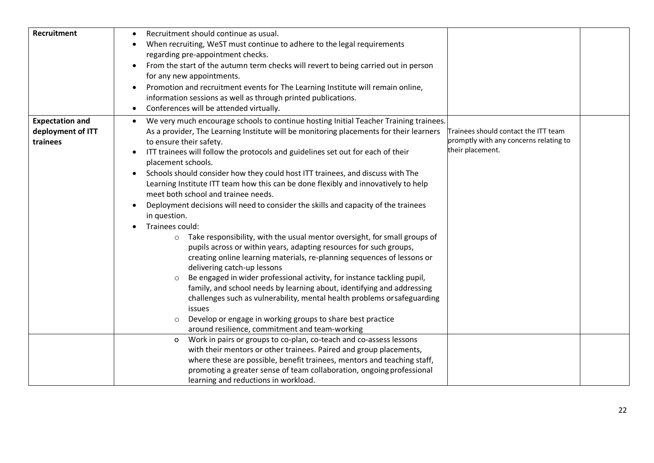| <b>Recruitment</b>                                      | Recruitment should continue as usual.<br>When recruiting, WeST must continue to adhere to the legal requirements<br>regarding pre-appointment checks.<br>From the start of the autumn term checks will revert to being carried out in person<br>for any new appointments.<br>Promotion and recruitment events for The Learning Institute will remain online,<br>$\bullet$<br>information sessions as well as through printed publications.                                                                                                                                                                                                                                                                                                                                                                                                                                                                                                                                                                                                                                                                                                                                                                                                                                                                                                                                                                                                                         |
|---------------------------------------------------------|--------------------------------------------------------------------------------------------------------------------------------------------------------------------------------------------------------------------------------------------------------------------------------------------------------------------------------------------------------------------------------------------------------------------------------------------------------------------------------------------------------------------------------------------------------------------------------------------------------------------------------------------------------------------------------------------------------------------------------------------------------------------------------------------------------------------------------------------------------------------------------------------------------------------------------------------------------------------------------------------------------------------------------------------------------------------------------------------------------------------------------------------------------------------------------------------------------------------------------------------------------------------------------------------------------------------------------------------------------------------------------------------------------------------------------------------------------------------|
|                                                         | Conferences will be attended virtually.<br>$\bullet$                                                                                                                                                                                                                                                                                                                                                                                                                                                                                                                                                                                                                                                                                                                                                                                                                                                                                                                                                                                                                                                                                                                                                                                                                                                                                                                                                                                                               |
| <b>Expectation and</b><br>deployment of ITT<br>trainees | We very much encourage schools to continue hosting Initial Teacher Training trainees.<br>$\bullet$<br>Trainees should contact the ITT team<br>As a provider, The Learning Institute will be monitoring placements for their learners<br>promptly with any concerns relating to<br>to ensure their safety.<br>their placement.<br>ITT trainees will follow the protocols and guidelines set out for each of their<br>$\bullet$<br>placement schools.<br>Schools should consider how they could host ITT trainees, and discuss with The<br>$\bullet$<br>Learning Institute ITT team how this can be done flexibly and innovatively to help<br>meet both school and trainee needs.<br>Deployment decisions will need to consider the skills and capacity of the trainees<br>$\bullet$<br>in question.<br>Trainees could:<br>Take responsibility, with the usual mentor oversight, for small groups of<br>$\circ$<br>pupils across or within years, adapting resources for such groups,<br>creating online learning materials, re-planning sequences of lessons or<br>delivering catch-up lessons<br>Be engaged in wider professional activity, for instance tackling pupil,<br>family, and school needs by learning about, identifying and addressing<br>challenges such as vulnerability, mental health problems orsafeguarding<br>issues<br>Develop or engage in working groups to share best practice<br>$\circ$<br>around resilience, commitment and team-working |
|                                                         | Work in pairs or groups to co-plan, co-teach and co-assess lessons<br>$\circ$<br>with their mentors or other trainees. Paired and group placements,<br>where these are possible, benefit trainees, mentors and teaching staff,<br>promoting a greater sense of team collaboration, ongoing professional<br>learning and reductions in workload.                                                                                                                                                                                                                                                                                                                                                                                                                                                                                                                                                                                                                                                                                                                                                                                                                                                                                                                                                                                                                                                                                                                    |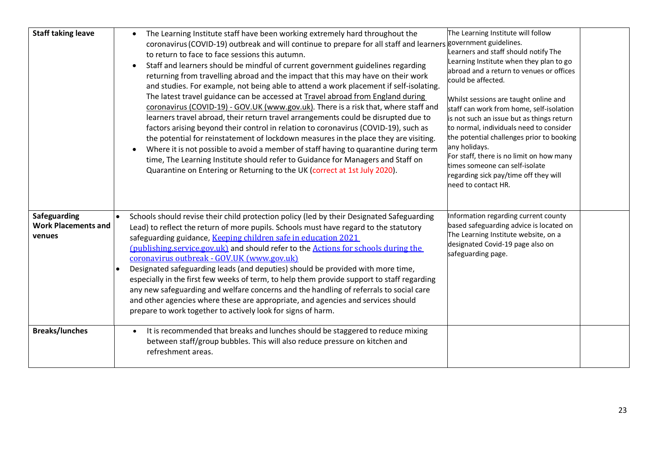| <b>Staff taking leave</b>                            | The Learning Institute staff have been working extremely hard throughout the<br>coronavirus (COVID-19) outbreak and will continue to prepare for all staff and learners government guidelines.<br>to return to face to face sessions this autumn.<br>Staff and learners should be mindful of current government guidelines regarding<br>$\bullet$<br>returning from travelling abroad and the impact that this may have on their work<br>and studies. For example, not being able to attend a work placement if self-isolating.<br>The latest travel guidance can be accessed at Travel abroad from England during<br>coronavirus (COVID-19) - GOV.UK (www.gov.uk). There is a risk that, where staff and<br>learners travel abroad, their return travel arrangements could be disrupted due to<br>factors arising beyond their control in relation to coronavirus (COVID-19), such as<br>the potential for reinstatement of lockdown measures in the place they are visiting.<br>Where it is not possible to avoid a member of staff having to quarantine during term<br>time, The Learning Institute should refer to Guidance for Managers and Staff on<br>Quarantine on Entering or Returning to the UK (correct at 1st July 2020). | The Learning Institute will follow<br>Learners and staff should notify The<br>Learning Institute when they plan to go<br>abroad and a return to venues or offices<br>could be affected.<br>Whilst sessions are taught online and<br>staff can work from home, self-isolation<br>is not such an issue but as things return<br>to normal, individuals need to consider<br>the potential challenges prior to booking<br>any holidays.<br>For staff, there is no limit on how many<br>times someone can self-isolate<br>regarding sick pay/time off they will<br>need to contact HR. |  |
|------------------------------------------------------|----------------------------------------------------------------------------------------------------------------------------------------------------------------------------------------------------------------------------------------------------------------------------------------------------------------------------------------------------------------------------------------------------------------------------------------------------------------------------------------------------------------------------------------------------------------------------------------------------------------------------------------------------------------------------------------------------------------------------------------------------------------------------------------------------------------------------------------------------------------------------------------------------------------------------------------------------------------------------------------------------------------------------------------------------------------------------------------------------------------------------------------------------------------------------------------------------------------------------------------|----------------------------------------------------------------------------------------------------------------------------------------------------------------------------------------------------------------------------------------------------------------------------------------------------------------------------------------------------------------------------------------------------------------------------------------------------------------------------------------------------------------------------------------------------------------------------------|--|
| Safeguarding<br><b>Work Placements and</b><br>venues | Schools should revise their child protection policy (led by their Designated Safeguarding<br>Lead) to reflect the return of more pupils. Schools must have regard to the statutory<br>safeguarding guidance, Keeping children safe in education 2021<br>(publishing.service.gov.uk) and should refer to the Actions for schools during the<br>coronavirus outbreak - GOV.UK (www.gov.uk)<br>Designated safeguarding leads (and deputies) should be provided with more time,<br>especially in the first few weeks of term, to help them provide support to staff regarding<br>any new safeguarding and welfare concerns and the handling of referrals to social care<br>and other agencies where these are appropriate, and agencies and services should<br>prepare to work together to actively look for signs of harm.                                                                                                                                                                                                                                                                                                                                                                                                                | Information regarding current county<br>based safeguarding advice is located on<br>The Learning Institute website, on a<br>designated Covid-19 page also on<br>safeguarding page.                                                                                                                                                                                                                                                                                                                                                                                                |  |
| <b>Breaks/lunches</b>                                | It is recommended that breaks and lunches should be staggered to reduce mixing<br>$\bullet$<br>between staff/group bubbles. This will also reduce pressure on kitchen and<br>refreshment areas.                                                                                                                                                                                                                                                                                                                                                                                                                                                                                                                                                                                                                                                                                                                                                                                                                                                                                                                                                                                                                                        |                                                                                                                                                                                                                                                                                                                                                                                                                                                                                                                                                                                  |  |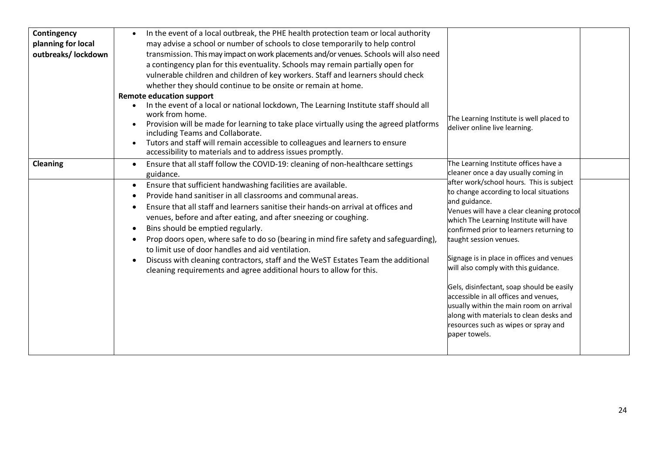| Contingency<br>planning for local<br>outbreaks/ lockdown | In the event of a local outbreak, the PHE health protection team or local authority<br>may advise a school or number of schools to close temporarily to help control<br>transmission. This may impact on work placements and/or venues. Schools will also need<br>a contingency plan for this eventuality. Schools may remain partially open for<br>vulnerable children and children of key workers. Staff and learners should check<br>whether they should continue to be onsite or remain at home.<br><b>Remote education support</b><br>In the event of a local or national lockdown, The Learning Institute staff should all<br>work from home.<br>Provision will be made for learning to take place virtually using the agreed platforms<br>including Teams and Collaborate.<br>Tutors and staff will remain accessible to colleagues and learners to ensure<br>accessibility to materials and to address issues promptly. | The Learning Institute is well placed to<br>deliver online live learning.                                                                                                                                                                                                                                                                                                                                                                                                                                                                                                                                                                                                     |
|----------------------------------------------------------|---------------------------------------------------------------------------------------------------------------------------------------------------------------------------------------------------------------------------------------------------------------------------------------------------------------------------------------------------------------------------------------------------------------------------------------------------------------------------------------------------------------------------------------------------------------------------------------------------------------------------------------------------------------------------------------------------------------------------------------------------------------------------------------------------------------------------------------------------------------------------------------------------------------------------------|-------------------------------------------------------------------------------------------------------------------------------------------------------------------------------------------------------------------------------------------------------------------------------------------------------------------------------------------------------------------------------------------------------------------------------------------------------------------------------------------------------------------------------------------------------------------------------------------------------------------------------------------------------------------------------|
| <b>Cleaning</b>                                          | Ensure that all staff follow the COVID-19: cleaning of non-healthcare settings<br>guidance.<br>Ensure that sufficient handwashing facilities are available.<br>Provide hand sanitiser in all classrooms and communal areas.<br>Ensure that all staff and learners sanitise their hands-on arrival at offices and<br>venues, before and after eating, and after sneezing or coughing.<br>Bins should be emptied regularly.<br>Prop doors open, where safe to do so (bearing in mind fire safety and safeguarding),<br>to limit use of door handles and aid ventilation.<br>Discuss with cleaning contractors, staff and the WeST Estates Team the additional<br>cleaning requirements and agree additional hours to allow for this.                                                                                                                                                                                              | The Learning Institute offices have a<br>cleaner once a day usually coming in<br>after work/school hours. This is subject<br>to change according to local situations<br>and guidance.<br>Venues will have a clear cleaning protocol<br>which The Learning Institute will have<br>confirmed prior to learners returning to<br>taught session venues.<br>Signage is in place in offices and venues<br>will also comply with this guidance.<br>Gels, disinfectant, soap should be easily<br>accessible in all offices and venues,<br>usually within the main room on arrival<br>along with materials to clean desks and<br>resources such as wipes or spray and<br>paper towels. |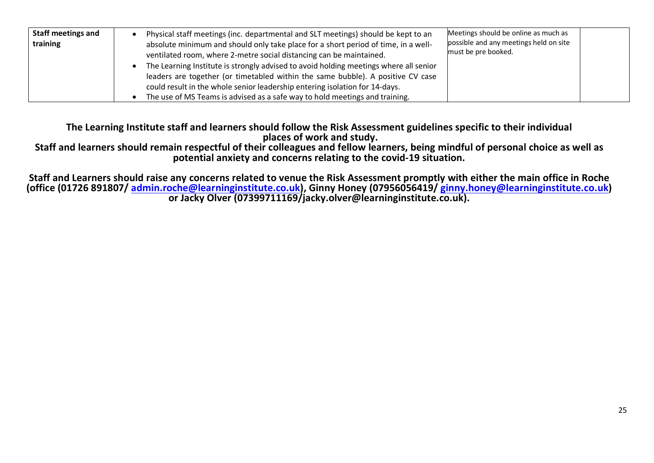| <b>Staff meetings and</b><br>training | Physical staff meetings (inc. departmental and SLT meetings) should be kept to an<br>absolute minimum and should only take place for a short period of time, in a well-<br>ventilated room, where 2-metre social distancing can be maintained.                                                                                         | Meetings should be online as much as<br>possible and any meetings held on site<br>must be pre booked. |
|---------------------------------------|----------------------------------------------------------------------------------------------------------------------------------------------------------------------------------------------------------------------------------------------------------------------------------------------------------------------------------------|-------------------------------------------------------------------------------------------------------|
|                                       | The Learning Institute is strongly advised to avoid holding meetings where all senior<br>leaders are together (or timetabled within the same bubble). A positive CV case<br>could result in the whole senior leadership entering isolation for 14-days.<br>The use of MS Teams is advised as a safe way to hold meetings and training. |                                                                                                       |

**The Learning Institute staff and learners should follow the Risk Assessment guidelines specific to their individual places of work and study.**

**Staff and learners should remain respectful of their colleagues and fellow learners, being mindful of personal choice as well as potential anxiety and concerns relating to the covid-19 situation.**

**Staff and Learners should raise any concerns related to venue the Risk Assessment promptly with either the main office in Roche (office (01726 891807/ admin.roche@learninginstitute.co.uk), Ginny Honey (07956056419/ ginny.honey@learninginstitute.co.uk) or Jacky Olver (07399711169/jacky.olver@learninginstitute.co.uk).**